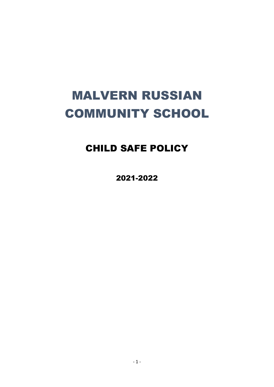# MALVERN RUSSIAN COMMUNITY SCHOOL

# CHILD SAFE POLICY

2021-2022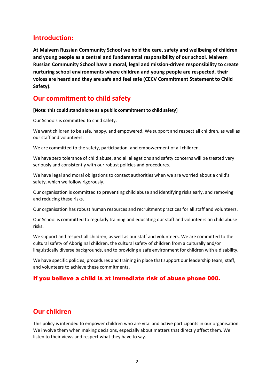### **Introduction:**

**At Malvern Russian Community School we hold the care, safety and wellbeing of children and young people as a central and fundamental responsibility of our school. Malvern Russian Community School have a moral, legal and mission-driven responsibility to create nurturing school environments where children and young people are respected, their voices are heard and they are safe and feel safe (CECV Commitment Statement to Child Safety).**

### **Our commitment to child safety**

**[Note: this could stand alone as a public commitment to child safety]**

Our Schools is committed to child safety.

We want children to be safe, happy, and empowered. We support and respect all children, as well as our staff and volunteers.

We are committed to the safety, participation, and empowerment of all children.

We have zero tolerance of child abuse, and all allegations and safety concerns will be treated very seriously and consistently with our robust policies and procedures.

We have legal and moral obligations to contact authorities when we are worried about a child's safety, which we follow rigorously.

Our organisation is committed to preventing child abuse and identifying risks early, and removing and reducing these risks.

Our organisation has robust human resources and recruitment practices for all staff and volunteers.

Our School is committed to regularly training and educating our staff and volunteers on child abuse risks.

We support and respect all children, as well as our staff and volunteers. We are committed to the cultural safety of Aboriginal children, the cultural safety of children from a culturally and/or linguistically diverse backgrounds, and to providing a safe environment for children with a disability.

We have specific policies, procedures and training in place that support our leadership team, staff, and volunteers to achieve these commitments.

#### If you believe a child is at immediate risk of abuse phone 000.

## **Our children**

This policy is intended to empower children who are vital and active participants in our organisation. We involve them when making decisions, especially about matters that directly affect them. We listen to their views and respect what they have to say.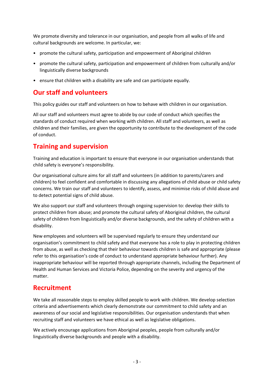We promote diversity and tolerance in our organisation, and people from all walks of life and cultural backgrounds are welcome. In particular, we:

- promote the cultural safety, participation and empowerment of Aboriginal children
- promote the cultural safety, participation and empowerment of children from culturally and/or linguistically diverse backgrounds
- ensure that children with a disability are safe and can participate equally.

# **Our staff and volunteers**

This policy guides our staff and volunteers on how to behave with children in our organisation.

All our staff and volunteers must agree to abide by our code of conduct which specifies the standards of conduct required when working with children. All staff and volunteers, as well as children and their families, are given the opportunity to contribute to the development of the code of conduct.

## **Training and supervision**

Training and education is important to ensure that everyone in our organisation understands that child safety is everyone's responsibility.

Our organisational culture aims for all staff and volunteers (in addition to parents/carers and children) to feel confident and comfortable in discussing any allegations of child abuse or child safety concerns. We train our staff and volunteers to identify, assess, and minimise risks of child abuse and to detect potential signs of child abuse.

We also support our staff and volunteers through ongoing supervision to: develop their skills to protect children from abuse; and promote the cultural safety of Aboriginal children, the cultural safety of children from linguistically and/or diverse backgrounds, and the safety of children with a disability.

New employees and volunteers will be supervised regularly to ensure they understand our organisation's commitment to child safety and that everyone has a role to play in protecting children from abuse, as well as checking that their behaviour towards children is safe and appropriate (please refer to this organisation's code of conduct to understand appropriate behaviour further). Any inappropriate behaviour will be reported through appropriate channels, including the Department of Health and Human Services and Victoria Police, depending on the severity and urgency of the matter.

## **Recruitment**

We take all reasonable steps to employ skilled people to work with children. We develop selection criteria and advertisements which clearly demonstrate our commitment to child safety and an awareness of our social and legislative responsibilities. Our organisation understands that when recruiting staff and volunteers we have ethical as well as legislative obligations.

We actively encourage applications from Aboriginal peoples, people from culturally and/or linguistically diverse backgrounds and people with a disability.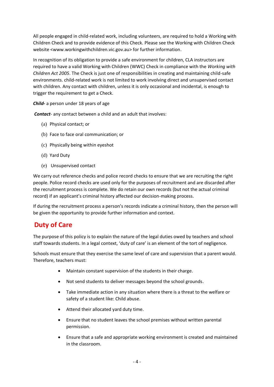All people engaged in child-related work, including volunteers, are required to hold a Working with Children Check and to provide evidence of this Check. Please see the Working with Children Check website <www.workingwithchildren.vic.gov.au> for further information.

In recognition of its obligation to provide a safe environment for children, CLA instructors are required to have a valid Working with Children (WWC) Check in compliance with the *Working with Children Act 2005*. The Check is just one of responsibilities in creating and maintaining child-safe environments. child-related work is not limited to work involving direct and unsupervised contact with children. Any contact with children, unless it is only occasional and incidental, is enough to trigger the requirement to get a Check.

*Child-* a person under 18 years of age

*Contact*- any contact between a child and an adult that involves:

- (a) Physical contact; or
- (b) Face to face oral communication; or
- (c) Physically being within eyeshot
- (d) Yard Duty
- (e) Unsupervised contact

We carry out reference checks and police record checks to ensure that we are recruiting the right people. Police record checks are used only for the purposes of recruitment and are discarded after the recruitment process is complete. We do retain our own records (but not the actual criminal record) if an applicant's criminal history affected our decision-making process.

If during the recruitment process a person's records indicate a criminal history, then the person will be given the opportunity to provide further information and context.

### **Duty of Care**

The purpose of this policy is to explain the nature of the legal duties owed by teachers and school staff towards students. In a legal context, 'duty of care' is an element of the tort of negligence.

Schools must ensure that they exercise the same level of care and supervision that a parent would. Therefore, teachers must:

- Maintain constant supervision of the students in their charge.
- Not send students to deliver messages beyond the school grounds.
- Take immediate action in any situation where there is a threat to the welfare or safety of a student like: Child abuse.
- Attend their allocated yard duty time.
- Ensure that no student leaves the school premises without written parental permission.
- Ensure that a safe and appropriate working environment is created and maintained in the classroom.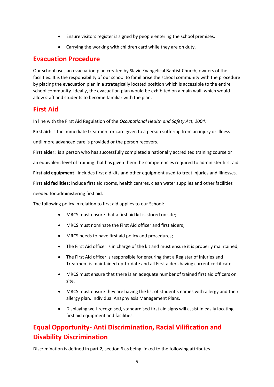- Ensure visitors register is signed by people entering the school premises.
- Carrying the working with children card while they are on duty.

#### **Evacuation Procedure**

Our school uses an evacuation plan created by Slavic Evangelical Baptist Church, owners of the facilities. It is the responsibility of our school to familiarise the school community with the procedure by placing the evacuation plan in a strategically located position which is accessible to the entire school community. Ideally, the evacuation plan would be exhibited on a main wall, which would allow staff and students to become familiar with the plan.

#### **First Aid**

In line with the First Aid Regulation of the *Occupational Health and Safety Act, 2004*.

**First aid**: is the immediate treatment or care given to a person suffering from an injury or illness

until more advanced care is provided or the person recovers.

**First aider:** is a person who has successfully completed a nationally accredited training course or

an equivalent level of training that has given them the competencies required to administer first aid.

**First aid equipment**: includes first aid kits and other equipment used to treat injuries and illnesses.

**First aid facilities:** include first aid rooms, health centres, clean water supplies and other facilities

needed for administering first aid.

The following policy in relation to first aid applies to our School:

- MRCS must ensure that a first aid kit is stored on site;
- MRCS must nominate the First Aid officer and first aiders;
- MRCS needs to have first aid policy and procedures;
- The First Aid officer is in charge of the kit and must ensure it is properly maintained;
- The First Aid officer is responsible for ensuring that a Register of Injuries and Treatment is maintained up-to-date and all First aiders having current certificate.
- MRCS must ensure that there is an adequate number of trained first aid officers on site.
- MRCS must ensure they are having the list of student's names with allergy and their allergy plan. Individual Anaphylaxis Management Plans.
- Displaying well-recognised, standardised first aid signs will assist in easily locating first aid equipment and facilities.

# **Equal Opportunity- Anti Discrimination, Racial Vilification and Disability Discrimination**

Discrimination is defined in part 2, section 6 as being linked to the following attributes.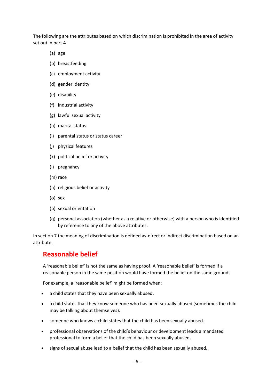The following are the attributes based on which discrimination is prohibited in the area of activity set out in part 4-

- (a) age
- (b) breastfeeding
- (c) employment activity
- (d) gender identity
- (e) disability
- (f) industrial activity
- (g) lawful sexual activity
- (h) marital status
- (i) parental status or status career
- (j) physical features
- (k) political belief or activity
- (l) pregnancy
- (m) race
- (n) religious belief or activity
- (o) sex
- (p) sexual orientation
- (q) personal association (whether as a relative or otherwise) with a person who is identified by reference to any of the above attributes.

In section 7 the meaning of discrimination is defined as-direct or indirect discrimination based on an attribute.

#### **Reasonable belief**

A 'reasonable belief' is not the same as having proof. A 'reasonable belief' is formed if a reasonable person in the same position would have formed the belief on the same grounds.

For example, a 'reasonable belief' might be formed when:

- a child states that they have been sexually abused.
- a child states that they know someone who has been sexually abused (sometimes the child may be talking about themselves).
- someone who knows a child states that the child has been sexually abused.
- professional observations of the child's behaviour or development leads a mandated professional to form a belief that the child has been sexually abused.
- signs of sexual abuse lead to a belief that the child has been sexually abused.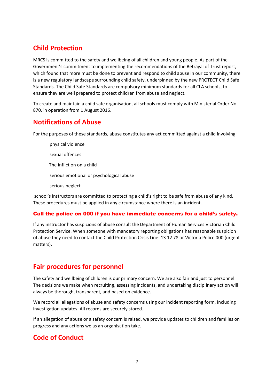# **Child Protection**

MRCS is committed to the safety and wellbeing of all children and young people. As part of the Government's commitment to implementing the recommendations of the Betrayal of Trust report, which found that more must be done to prevent and respond to child abuse in our community, there is a new regulatory landscape surrounding child safety, underpinned by the new PROTECT Child Safe Standards. The Child Safe Standards are compulsory minimum standards for all CLA schools, to ensure they are well prepared to protect children from abuse and neglect.

To create and maintain a child safe organisation, all schools must comply with Ministerial Order No. 870, in operation from 1 August 2016.

### **Notifications of Abuse**

For the purposes of these standards, abuse constitutes any act committed against a child involving:

physical violence sexual offences The infliction on a child serious emotional or psychological abuse serious neglect.

school's instructors are committed to protecting a child's right to be safe from abuse of any kind. These procedures must be applied in any circumstance where there is an incident.

#### Call the police on 000 if you have immediate concerns for a child's safety.

If any instructor has suspicions of abuse consult the Department of Human Services Victorian Child Protection Service. When someone with mandatory reporting obligations has reasonable suspicion of abuse they need to contact the Child Protection Crisis Line: 13 12 78 or Victoria Police 000 (urgent matters).

## **Fair procedures for personnel**

The safety and wellbeing of children is our primary concern. We are also fair and just to personnel. The decisions we make when recruiting, assessing incidents, and undertaking disciplinary action will always be thorough, transparent, and based on evidence.

We record all allegations of abuse and safety concerns using our incident reporting form, including investigation updates. All records are securely stored.

If an allegation of abuse or a safety concern is raised, we provide updates to children and families on progress and any actions we as an organisation take.

# **Code of Conduct**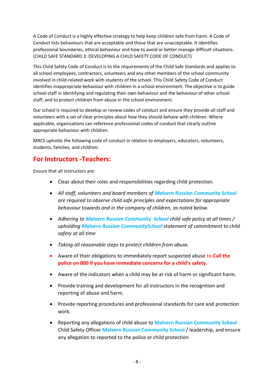A Code of Conduct is a highly effective strategy to help keep children safe from harm. A Code of Conduct lists behaviours that are acceptable and those that are unacceptable. It identifies professional boundaries, ethical behaviour and how to avoid or better manage difficult situations. (CHILD SAFE STANDARD 3: DEVELOPING A CHILD SAFETY CODE OF CONDUCT)

This Child Safety Code of Conduct is to the requirements of the Child Safe Standards and applies to all school employees, contractors, volunteers and any other members of the school community involved in child-related work with students of the school. This Child Safety Code of Conduct identifies inappropriate behaviour with children in a school environment. The objective is to guide school staff in identifying and regulating their own behaviour and the behaviour of other school staff, and to protect children from abuse in the school environment.

Our school is required to develop or review codes of conduct and ensure they provide all staff and volunteers with a set of clear principles about how they should behave with children. Where applicable, organisations can reference professional codes of conduct that clearly outline appropriate behaviour with children.

MRCS upholds the following code of conduct in relation to employers, educators, volunteers, students, families, and children:

### **For Instructors -Teachers:**

Ensure that all instructors are:

- Clear about their roles and responsibilities regarding child protection.
- *All staff, volunteers and board members of Malvern Russian Community School are required to observe child safe principles and expectations for appropriate behaviour towards and in the company of children, as noted below.*
- *Adhering to Malvern Russian Community School child safe policy at all times / upholding Malvern Russian CommunitySchool statement of commitment to child safety at all time*
- *Taking all reasonable steps to protect children from abuse.*
- Aware of their obligations to immediately report suspected abuse to **Call the police on 000 if you have immediate concerns for a child's safety.**
- Aware of the indicators when a child may be at risk of harm or significant harm.
- Provide training and development for all instructors in the recognition and reporting of abuse and harm.
- Provide reporting procedures and professional standards for care and protection work.
- Reporting any allegations of child abuse to **Malvern Russian Community School**  Child Safety Officer **Malvern Russian Community School** / leadership, and ensure any allegation to reported to the police or child protection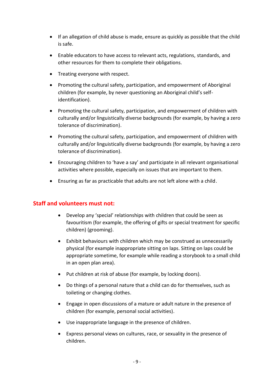- If an allegation of child abuse is made, ensure as quickly as possible that the child is safe.
- Enable educators to have access to relevant acts, regulations, standards, and other resources for them to complete their obligations.
- Treating everyone with respect.
- Promoting the cultural safety, participation, and empowerment of Aboriginal children (for example, by never questioning an Aboriginal child's selfidentification).
- Promoting the cultural safety, participation, and empowerment of children with culturally and/or linguistically diverse backgrounds (for example, by having a zero tolerance of discrimination).
- Promoting the cultural safety, participation, and empowerment of children with culturally and/or linguistically diverse backgrounds (for example, by having a zero tolerance of discrimination).
- Encouraging children to 'have a say' and participate in all relevant organisational activities where possible, especially on issues that are important to them.
- Ensuring as far as practicable that adults are not left alone with a child.

#### **Staff and volunteers must not:**

- Develop any 'special' relationships with children that could be seen as favouritism (for example, the offering of gifts or special treatment for specific children) (grooming).
- Exhibit behaviours with children which may be construed as unnecessarily physical (for example inappropriate sitting on laps. Sitting on laps could be appropriate sometime, for example while reading a storybook to a small child in an open plan area).
- Put children at risk of abuse (for example, by locking doors).
- Do things of a personal nature that a child can do for themselves, such as toileting or changing clothes.
- Engage in open discussions of a mature or adult nature in the presence of children (for example, personal social activities).
- Use inappropriate language in the presence of children.
- Express personal views on cultures, race, or sexuality in the presence of children.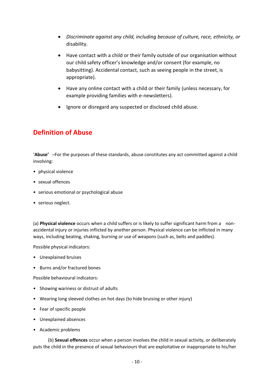- *Discriminate against any child, including because of culture, race, ethnicity, or* disability.
- Have contact with a child or their family outside of our organisation without our child safety officer's knowledge and/or consent (for example, no babysitting). Accidental contact, such as seeing people in the street, is appropriate).
- Have any online contact with a child or their family (unless necessary, for example providing families with e-newsletters).
- Ignore or disregard any suspected or disclosed child abuse.

## **Definition of Abuse**

'**Abuse'** –For the purposes of these standards, abuse constitutes any act committed against a child involving:

- physical violence
- sexual offences
- serious emotional or psychological abuse
- serious neglect.

(a) **Physical violence** occurs when a child suffers or is likely to suffer significant harm from a nonaccidental injury or injuries inflicted by another person. Physical violence can be inflicted in many ways, including beating, shaking, burning or use of weapons (such as, belts and paddles).

Possible physical indicators:

- Unexplained bruises
- Burns and/or fractured bones

Possible behavioural indicators:

- Showing wariness or distrust of adults
- Wearing long sleeved clothes on hot days (to hide bruising or other injury)
- Fear of specific people
- Unexplained absences
- Academic problems

 (b) **Sexual offences** occur when a person involves the child in sexual activity, or deliberately puts the child in the presence of sexual behaviours that are exploitative or inappropriate to his/her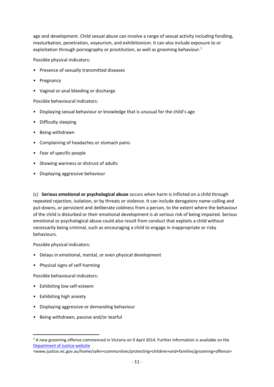age and development. Child sexual abuse can involve a range of sexual activity including fondling, masturbation, penetration, voyeurism, and exhibitionism. It can also include exposure to or exploitation through pornography or prostitution, as well as grooming behaviour.<sup>1</sup>

Possible physical indicators:

- Presence of sexually transmitted diseases
- Pregnancy
- Vaginal or anal bleeding or discharge

Possible behavioural indicators:

- Displaying sexual behaviour or knowledge that is unusual for the child's age
- Difficulty sleeping
- Being withdrawn
- Complaining of headaches or stomach pains
- Fear of specific people
- Showing wariness or distrust of adults
- Displaying aggressive behaviour

(c) **Serious emotional or psychological abuse** occurs when harm is inflicted on a child through repeated rejection, isolation, or by threats or violence. It can include derogatory name-calling and put-downs, or persistent and deliberate coldness from a person, to the extent where the behaviour of the child is disturbed or their emotional development is at serious risk of being impaired. Serious emotional or psychological abuse could also result from conduct that exploits a child without necessarily being criminal, such as encouraging a child to engage in inappropriate or risky behaviours.

Possible physical indicators:

- Delays in emotional, mental, or even physical development
- Physical signs of self-harming

Possible behavioural indicators:

- Exhibiting low self-esteem
- Exhibiting high anxiety
- Displaying aggressive or demanding behaviour
- Being withdrawn, passive and/or tearful

<www.justice.vic.gov.au/home/safer+communities/protecting+children+and+families/grooming+offence>

<sup>&</sup>lt;sup>1</sup> A new grooming offence commenced in Victoria on 9 April 2014. Further information is available on the [Department of Justice website](http://www.justice.vic.gov.au/home/safer+communities/protecting+children+and+families/grooming+offence)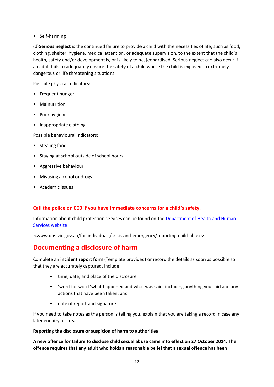• Self-harming

(d)**Serious neglect** is the continued failure to provide a child with the necessities of life, such as food, clothing, shelter, hygiene, medical attention, or adequate supervision, to the extent that the child's health, safety and/or development is, or is likely to be, jeopardised. Serious neglect can also occur if an adult fails to adequately ensure the safety of a child where the child is exposed to extremely dangerous or life threatening situations.

Possible physical indicators:

- Frequent hunger
- Malnutrition
- Poor hygiene
- Inappropriate clothing

Possible behavioural indicators:

- Stealing food
- Staying at school outside of school hours
- Aggressive behaviour
- Misusing alcohol or drugs
- Academic issues

#### **Call the police on 000 if you have immediate concerns for a child's safety.**

Information about child protection services can be found on the [Department of Health and Human](http://www.dhs.vic.gov.au/for-individuals/crisis-and-emergency/reporting-child-abuse)  [Services website](http://www.dhs.vic.gov.au/for-individuals/crisis-and-emergency/reporting-child-abuse)

<www.dhs.vic.gov.au/for-individuals/crisis-and-emergency/reporting-child-abuse>

## **Documenting a disclosure of harm**

Complete an **incident report form** (Template provided) or record the details as soon as possible so that they are accurately captured. Include:

- time, date, and place of the disclosure
- 'word for word 'what happened and what was said, including anything you said and any actions that have been taken, and
- date of report and signature

If you need to take notes as the person is telling you, explain that you are taking a record in case any later enquiry occurs.

#### **Reporting the disclosure or suspicion of harm to authorities**

**A new offence for failure to disclose child sexual abuse came into effect on 27 October 2014. The offence requires that any adult who holds a reasonable belief that a sexual offence has been**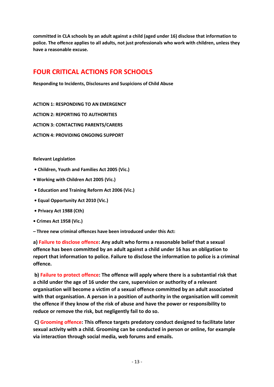**committed in CLA schools by an adult against a child (aged under 16) disclose that information to police. The offence applies to all adults, not just professionals who work with children, unless they have a reasonable excuse.**

## **FOUR CRITICAL ACTIONS FOR SCHOOLS**

**Responding to Incidents, Disclosures and Suspicions of Child Abuse** 

**ACTION 1: RESPONDING TO AN EMERGENCY**

**ACTION 2: REPORTING TO AUTHORITIES**

**ACTION 3: CONTACTING PARENTS/CARERS**

**ACTION 4: PROVIDING ONGOING SUPPORT**

**Relevant Legislation**

- **Children, Youth and Families Act 2005 (Vic.)**
- **Working with Children Act 2005 (Vic.)**
- **Education and Training Reform Act 2006 (Vic.)**
- **Equal Opportunity Act 2010 (Vic.)**
- **Privacy Act 1988 (Cth)**
- **Crimes Act 1958 (Vic.)**
- **– Three new criminal offences have been introduced under this Act:**

**a) Failure to disclose offence: Any adult who forms a reasonable belief that a sexual offence has been committed by an adult against a child under 16 has an obligation to report that information to police. Failure to disclose the information to police is a criminal offence.**

**b) Failure to protect offence: The offence will apply where there is a substantial risk that a child under the age of 16 under the care, supervision or authority of a relevant organisation will become a victim of a sexual offence committed by an adult associated with that organisation. A person in a position of authority in the organisation will commit the offence if they know of the risk of abuse and have the power or responsibility to reduce or remove the risk, but negligently fail to do so.**

**C) Grooming offence: This offence targets predatory conduct designed to facilitate later sexual activity with a child. Grooming can be conducted in person or online, for example via interaction through social media, web forums and emails.**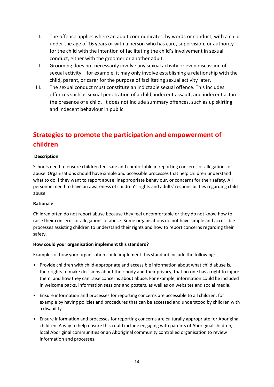- I. The offence applies where an adult communicates, by words or conduct, with a child under the age of 16 years or with a person who has care, supervision, or authority for the child with the intention of facilitating the child's involvement in sexual conduct, either with the groomer or another adult.
- II. Grooming does not necessarily involve any sexual activity or even discussion of sexual activity – for example, it may only involve establishing a relationship with the child, parent, or carer for the purpose of facilitating sexual activity later.
- III. The sexual conduct must constitute an indictable sexual offence. This includes offences such as sexual penetration of a child, indecent assault, and indecent act in the presence of a child. It does not include summary offences, such as up skirting and indecent behaviour in public.

# **Strategies to promote the participation and empowerment of children**

#### **Description**

Schools need to ensure children feel safe and comfortable in reporting concerns or allegations of abuse. Organisations should have simple and accessible processes that help children understand what to do if they want to report abuse, inappropriate behaviour, or concerns for their safety. All personnel need to have an awareness of children's rights and adults' responsibilities regarding child abuse.

#### **Rationale**

Children often do not report abuse because they feel uncomfortable or they do not know how to raise their concerns or allegations of abuse. Some organisations do not have simple and accessible processes assisting children to understand their rights and how to report concerns regarding their safety.

#### **How could your organisation implement this standard?**

Examples of how your organisation could implement this standard include the following:

- Provide children with child-appropriate and accessible information about what child abuse is, their rights to make decisions about their body and their privacy, that no one has a right to injure them, and how they can raise concerns about abuse. For example, information could be included in welcome packs, information sessions and posters, as well as on websites and social media.
- Ensure information and processes for reporting concerns are accessible to all children, for example by having policies and procedures that can be accessed and understood by children with a disability.
- Ensure information and processes for reporting concerns are culturally appropriate for Aboriginal children. A way to help ensure this could include engaging with parents of Aboriginal children, local Aboriginal communities or an Aboriginal community controlled organisation to review information and processes.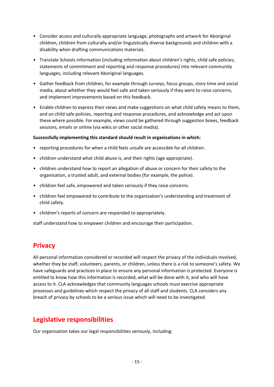- Consider access and culturally appropriate language, photographs and artwork for Aboriginal children, children from culturally and/or linguistically diverse backgrounds and children with a disability when drafting communications materials.
- Translate Schools information (including information about children's rights, child safe policies, statements of commitment and reporting and response procedures) into relevant community languages, including relevant Aboriginal languages.
- Gather feedback from children, for example through surveys, focus groups, story time and social media, about whether they would feel safe and taken seriously if they were to raise concerns, and implement improvements based on this feedback.
- Enable children to express their views and make suggestions on what child safety means to them, and on child safe policies, reporting and response procedures, and acknowledge and act upon these where possible. For example, views could be gathered through suggestion boxes, feedback sessions, emails or online (via wikis or other social media).

#### **Successfully implementing this standard should result in organisations in which:**

- reporting procedures for when a child feels unsafe are accessible for all children.
- children understand what child abuse is, and their rights (age appropriate).
- children understand how to report an allegation of abuse or concern for their safety to the organisation, a trusted adult, and external bodies (for example, the police).
- children feel safe, empowered and taken seriously if they raise concerns.
- children feel empowered to contribute to the organisation's understanding and treatment of child safety.
- children's reports of concern are responded to appropriately.

staff understand how to empower children and encourage their participation.

### **Privacy**

All personal information considered or recorded will respect the privacy of the individuals involved, whether they be staff, volunteers, parents, or children, unless there is a risk to someone's safety. We have safeguards and practices in place to ensure any personal information is protected. Everyone is entitled to know how this information is recorded, what will be done with it, and who will have access to it. CLA acknowledges that community languages schools must exercise appropriate processes and guidelines which respect the privacy of all staff and students. CLA considers any breach of privacy by schools to be a serious issue which will need to be investigated.

### **Legislative responsibilities**

Our organisation takes our legal responsibilities seriously, including: